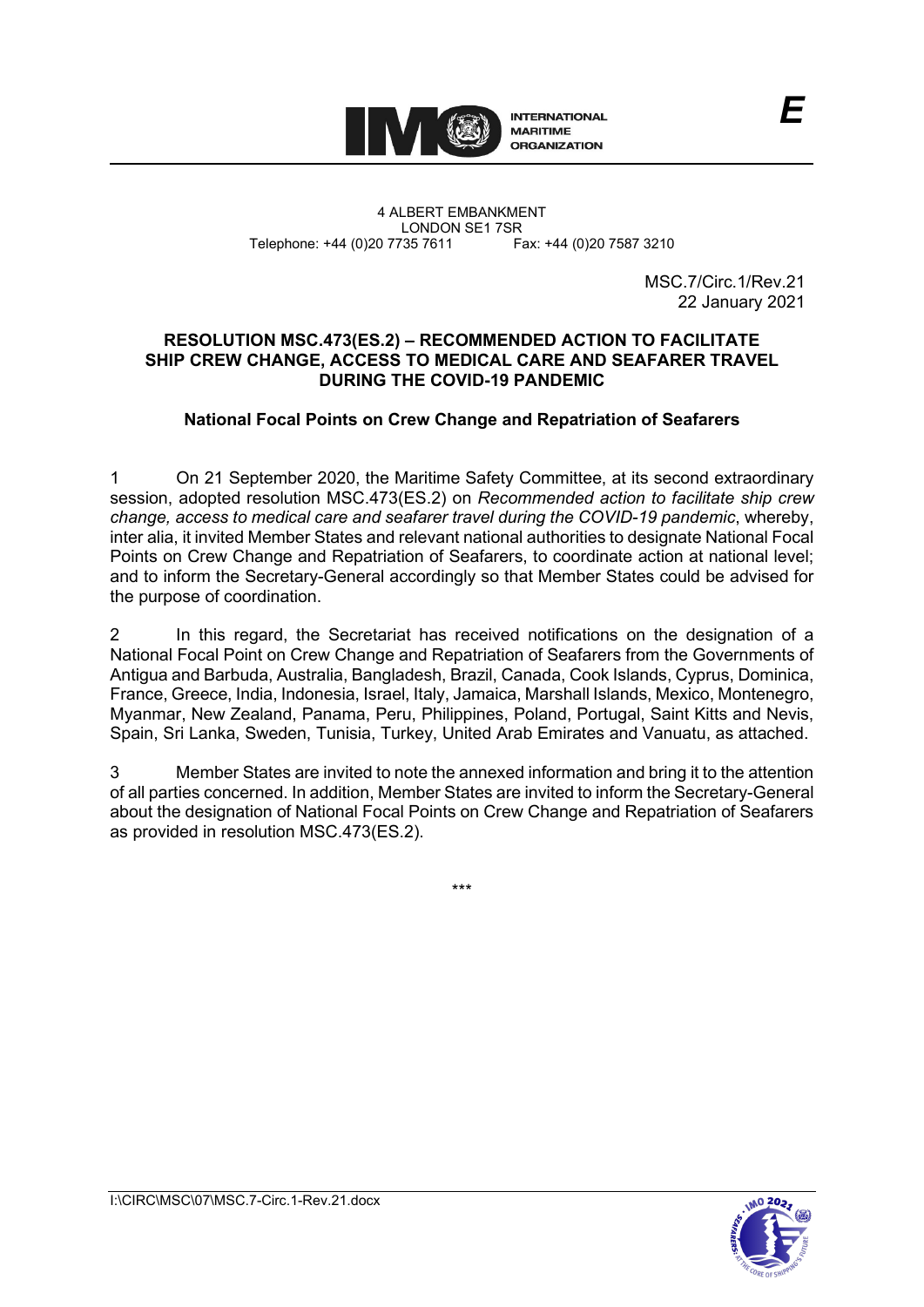

4 ALBERT EMBANKMENT Telephone: +44 (0)20 7735 7611

LONDON SE1 7SR<br>735 7611 Fax: +44 (0)20 7587 3210

MSC.7/Circ.1/Rev.21 22 January 2021

*E*

# **RESOLUTION MSC.473(ES.2) – RECOMMENDED ACTION TO FACILITATE SHIP CREW CHANGE, ACCESS TO MEDICAL CARE AND SEAFARER TRAVEL DURING THE COVID-19 PANDEMIC**

# **National Focal Points on Crew Change and Repatriation of Seafarers**

1 On 21 September 2020, the Maritime Safety Committee, at its second extraordinary session, adopted resolution MSC.473(ES.2) on *Recommended action to facilitate ship crew change, access to medical care and seafarer travel during the COVID-19 pandemic*, whereby, inter alia, it invited Member States and relevant national authorities to designate National Focal Points on Crew Change and Repatriation of Seafarers, to coordinate action at national level; and to inform the Secretary-General accordingly so that Member States could be advised for the purpose of coordination.

2 In this regard, the Secretariat has received notifications on the designation of a National Focal Point on Crew Change and Repatriation of Seafarers from the Governments of Antigua and Barbuda, Australia, Bangladesh, Brazil, Canada, Cook Islands, Cyprus, Dominica, France, Greece, India, Indonesia, Israel, Italy, Jamaica, Marshall Islands, Mexico, Montenegro, Myanmar, New Zealand, Panama, Peru, Philippines, Poland, Portugal, Saint Kitts and Nevis, Spain, Sri Lanka, Sweden, Tunisia, Turkey, United Arab Emirates and Vanuatu, as attached.

3 Member States are invited to note the annexed information and bring it to the attention of all parties concerned. In addition, Member States are invited to inform the Secretary-General about the designation of National Focal Points on Crew Change and Repatriation of Seafarers as provided in resolution MSC.473(ES.2).

\*\*\*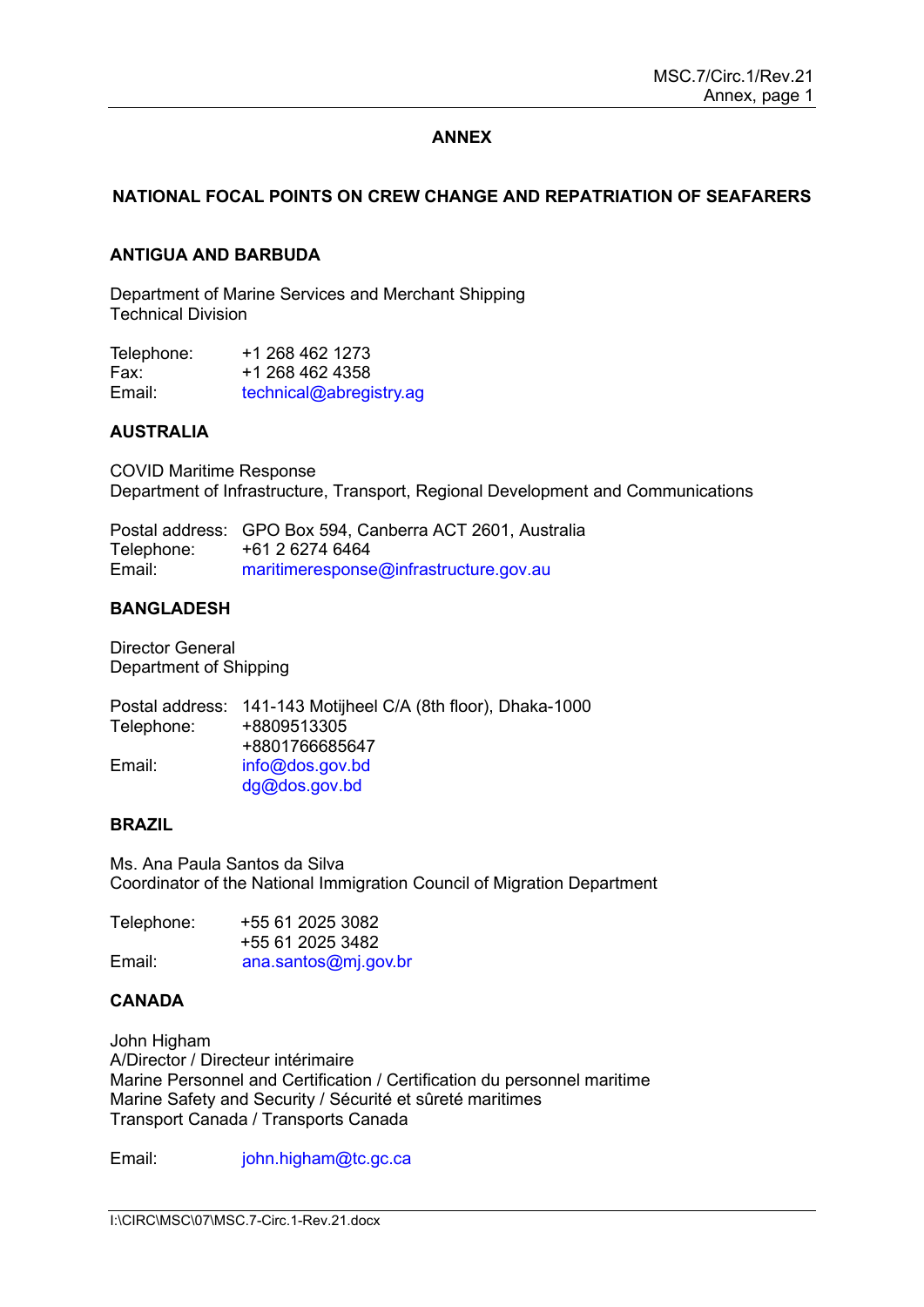# **ANNEX**

# **NATIONAL FOCAL POINTS ON CREW CHANGE AND REPATRIATION OF SEAFARERS**

## **ANTIGUA AND BARBUDA**

Department of Marine Services and Merchant Shipping Technical Division

| Telephone: | +1 268 462 1273         |
|------------|-------------------------|
| Fax:       | +1 268 462 4358         |
| Email:     | technical@abregistry.ag |

#### **AUSTRALIA**

COVID Maritime Response Department of Infrastructure, Transport, Regional Development and Communications

Postal address: GPO Box 594, Canberra ACT 2601, Australia Telephone: +61 2 6274 6464<br>Email: maritimeresponse [maritimeresponse@infrastructure.gov.au](mailto:maritimeresponse@infrastructure.gov.au)

### **BANGLADESH**

Director General Department of Shipping

|            | Postal address: 141-143 Motijheel C/A (8th floor), Dhaka-1000 |
|------------|---------------------------------------------------------------|
| Telephone: | +8809513305                                                   |
|            | +8801766685647                                                |
| Email:     | info@dos.gov.bd                                               |
|            | $dg@d$ os.gov.bd                                              |

#### **BRAZIL**

Ms. Ana Paula Santos da Silva Coordinator of the National Immigration Council of Migration Department

| Telephone: | +55 61 2025 3082     |
|------------|----------------------|
|            | +55 61 2025 3482     |
| Email:     | ana.santos@mj.gov.br |

# **CANADA**

John Higham A/Director / Directeur intérimaire Marine Personnel and Certification / Certification du personnel maritime Marine Safety and Security / Sécurité et sûreté maritimes Transport Canada / Transports Canada

Email: [john.higham@tc.gc.ca](mailto:john.higham@tc.gc.ca)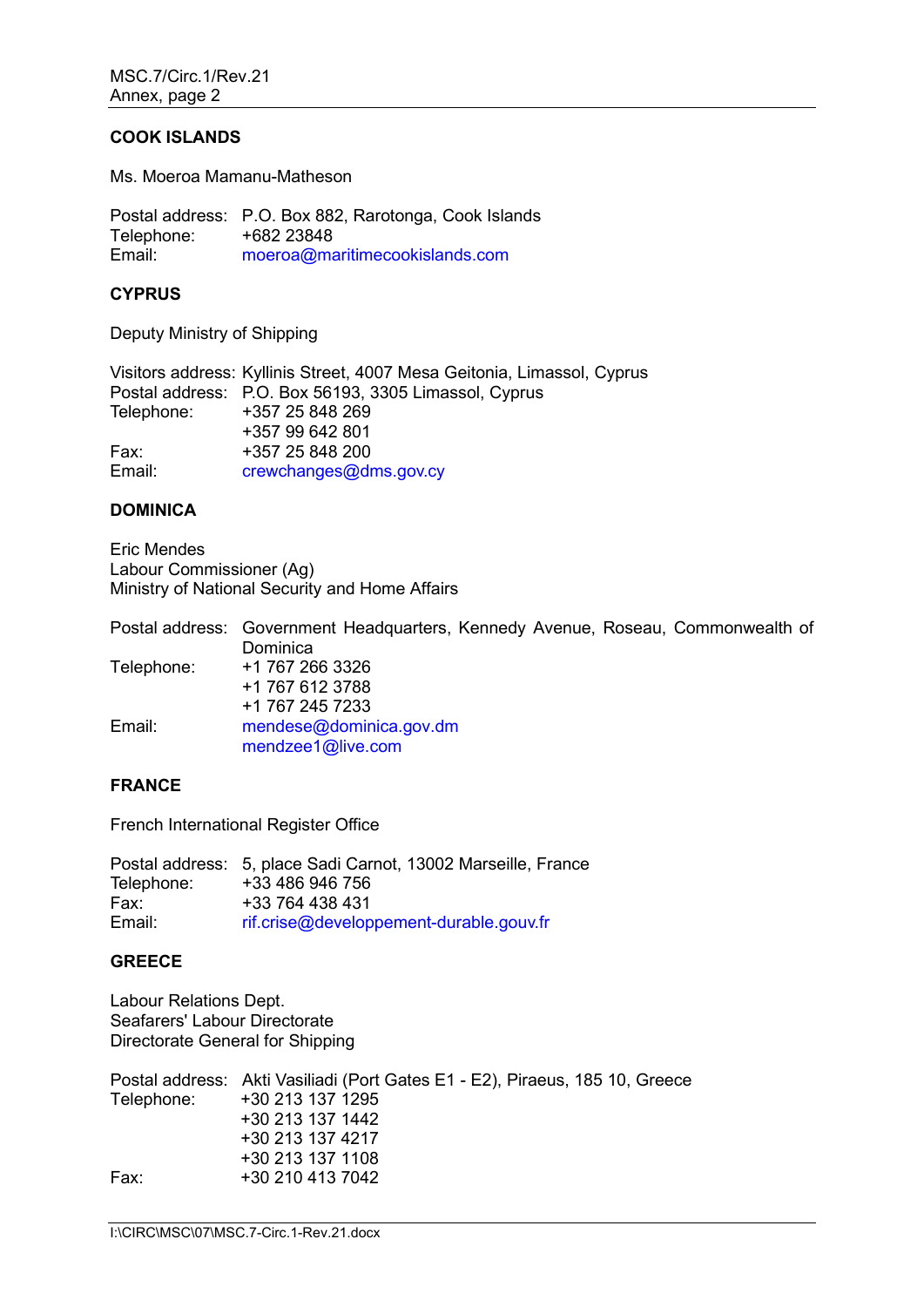### **COOK ISLANDS**

Ms. Moeroa Mamanu-Matheson

Postal address: P.O. Box 882, Rarotonga, Cook Islands Telephone: +682 23848<br>Email: moeroa@ma [moeroa@maritimecookislands.com](mailto:moeroa@maritimecookislands.com)

## **CYPRUS**

Deputy Ministry of Shipping

|            | Visitors address: Kyllinis Street, 4007 Mesa Geitonia, Limassol, Cyprus |
|------------|-------------------------------------------------------------------------|
|            | Postal address: P.O. Box 56193, 3305 Limassol, Cyprus                   |
| Telephone: | +357 25 848 269                                                         |
|            | +357 99 642 801                                                         |
| Fax:       | +357 25 848 200                                                         |
| Email:     | crewchanges@dms.gov.cy                                                  |

### **DOMINICA**

Eric Mendes Labour Commissioner (Ag) Ministry of National Security and Home Affairs

Postal address: Government Headquarters, Kennedy Avenue, Roseau, Commonwealth of **Dominica** Telephone: +1 767 266 3326 +1 767 612 3788 +1 767 245 7233 Email: [mendese@dominica.gov.dm](mailto:mendese@dominica.gov.dm) [mendzee1@live.com](mailto:mendzee1@live.com)

#### **FRANCE**

French International Register Office

Postal address: 5, place Sadi Carnot, 13002 Marseille, France Telephone: +33 486 946 756 Fax: +33 764 438 431 Email: [rif.crise@developpement-durable.gouv.fr](mailto:rif.crise@developpement-durable.gouv.fr)

# **GREECE**

Labour Relations Dept. Seafarers' Labour Directorate Directorate General for Shipping

Postal address: Akti Vasiliadi (Port Gates E1 - E2), Piraeus, 185 10, Greece Telephone: +30 213 137 1295 +30 213 137 1442 +30 213 137 4217 +30 213 137 1108 Fax: +30 210 413 7042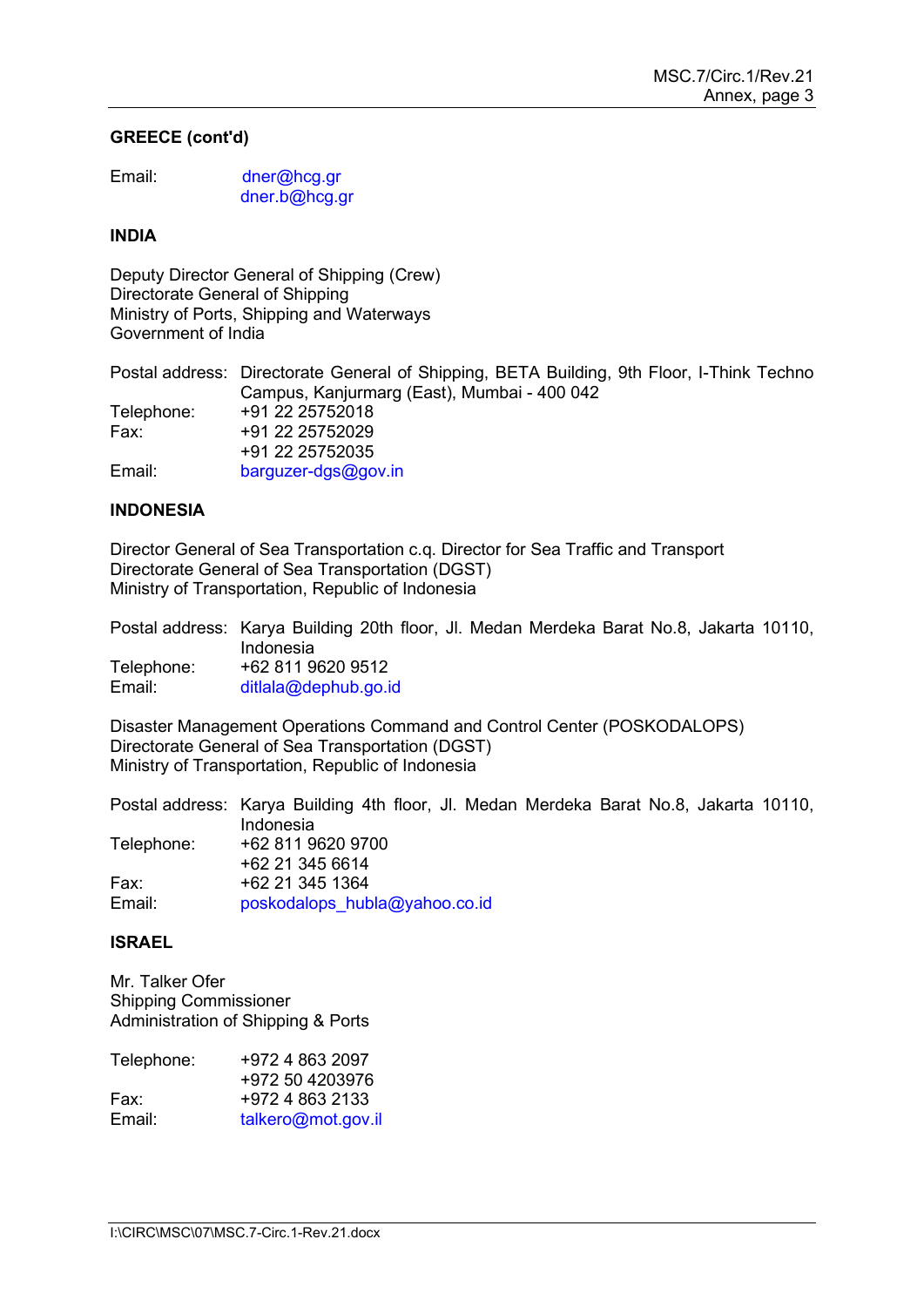# **GREECE (cont'd)**

| Email: | dner@hcg.gr   |
|--------|---------------|
|        | dner.b@hcg.gr |

### **INDIA**

Deputy Director General of Shipping (Crew) Directorate General of Shipping Ministry of Ports, Shipping and Waterways Government of India

Postal address: Directorate General of Shipping, BETA Building, 9th Floor, I-Think Techno Campus, Kanjurmarg (East), Mumbai - 400 042 Telephone: +91 22 25752018<br>Fax: +91 22 25752029 Fax: +91 22 25752029 +91 22 25752035 Email: [barguzer-dgs@gov.in](mailto:barguzer-dgs@gov.in)

# **INDONESIA**

Director General of Sea Transportation c.q. Director for Sea Traffic and Transport Directorate General of Sea Transportation (DGST) Ministry of Transportation, Republic of Indonesia

|            | Postal address: Karya Building 20th floor, Jl. Medan Merdeka Barat No.8, Jakarta 10110, |
|------------|-----------------------------------------------------------------------------------------|
|            | Indonesia                                                                               |
| Telephone: | +62 811 9620 9512                                                                       |
| Email:     | $d$ itlala@dephub.go.id                                                                 |

Disaster Management Operations Command and Control Center (POSKODALOPS) Directorate General of Sea Transportation (DGST) Ministry of Transportation, Republic of Indonesia

Postal address: Karya Building 4th floor, Jl. Medan Merdeka Barat No.8, Jakarta 10110, Indonesia Telephone: +62 811 9620 9700 +62 21 345 6614 Fax: +62 21 345 1364 Email: [poskodalops\\_hubla@yahoo.co.id](mailto:poskodalops_hubla@yahoo.co.id)

## **ISRAEL**

Mr. Talker Ofer Shipping Commissioner Administration of Shipping & Ports

| Telephone: | +972 4 863 2097    |
|------------|--------------------|
|            | +972 50 4203976    |
| Fax:       | +972 4 863 2133    |
| Email:     | talkero@mot.gov.il |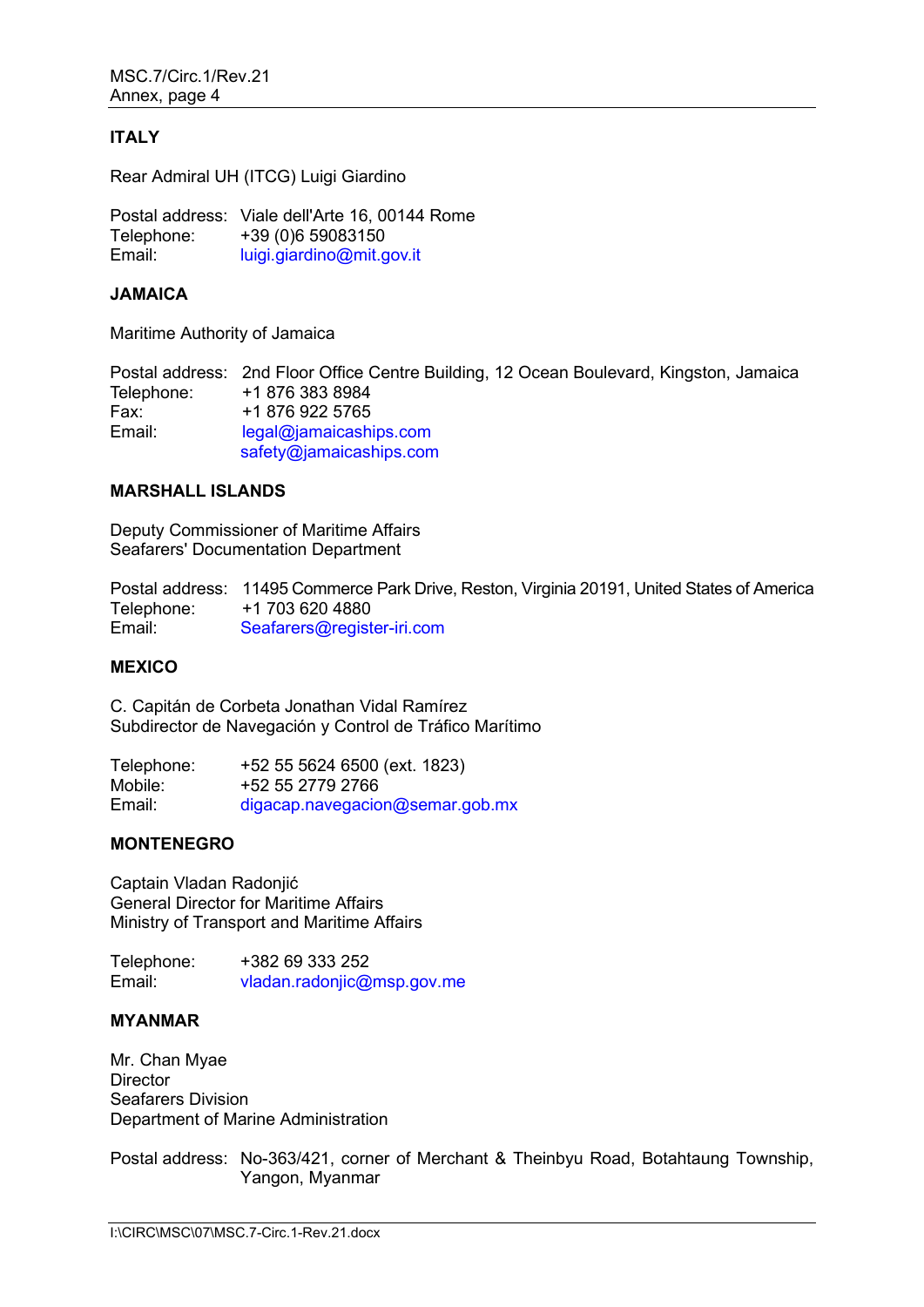## **ITALY**

Rear Admiral UH (ITCG) Luigi Giardino

Postal address: Viale dellʹArte 16, 00144 Rome Telephone:  $+39(0)659083150$ <br>Fmail:  $\frac{lution\space triangle}{lution\space triangle}$ [luigi.giardino@mit.gov.it](mailto:luigi.giardino@mit.gov.it)

### **JAMAICA**

Maritime Authority of Jamaica

Postal address: 2nd Floor Office Centre Building, 12 Ocean Boulevard, Kingston, Jamaica Telephone: +1 876 383 8984<br>Fax: +1 876 922 5765 Fax: +1 876 922 5765<br>Email: legal@iamaicash legal@jamaicaships.com [safety@jamaicaships.com](mailto:safety@jamaicaships.com)

## **MARSHALL ISLANDS**

Deputy Commissioner of Maritime Affairs Seafarers' Documentation Department

Postal address: 11495 Commerce Park Drive, Reston, Virginia 20191, United States of America Telephone: +1 703 620 4880 Email: [Seafarers@register-iri.com](mailto:Seafarers@register-iri.com)

#### **MEXICO**

C. Capitán de Corbeta Jonathan Vidal Ramírez Subdirector de Navegación y Control de Tráfico Marítimo

Telephone: +52 55 5624 6500 (ext. 1823) Mobile: +52 55 2779 2766 Email: [digacap.navegacion@semar.gob.mx](mailto:digacap.navegacion@semar.gob.mx)

# **MONTENEGRO**

Captain Vladan Radonjić General Director for Maritime Affairs Ministry of Transport and Maritime Affairs

Telephone:  $+382\,69\,333\,252$ <br>Fmail:  $\frac{V \cdot \text{N}{V}}{\text{N}}$ [vladan.radonjic@msp.gov.me](mailto:vladan.radonjic@msp.gov.me)

#### **MYANMAR**

Mr. Chan Myae **Director** Seafarers Division Department of Marine Administration

Postal address: No-363/421, corner of Merchant & Theinbyu Road, Botahtaung Township, Yangon, Myanmar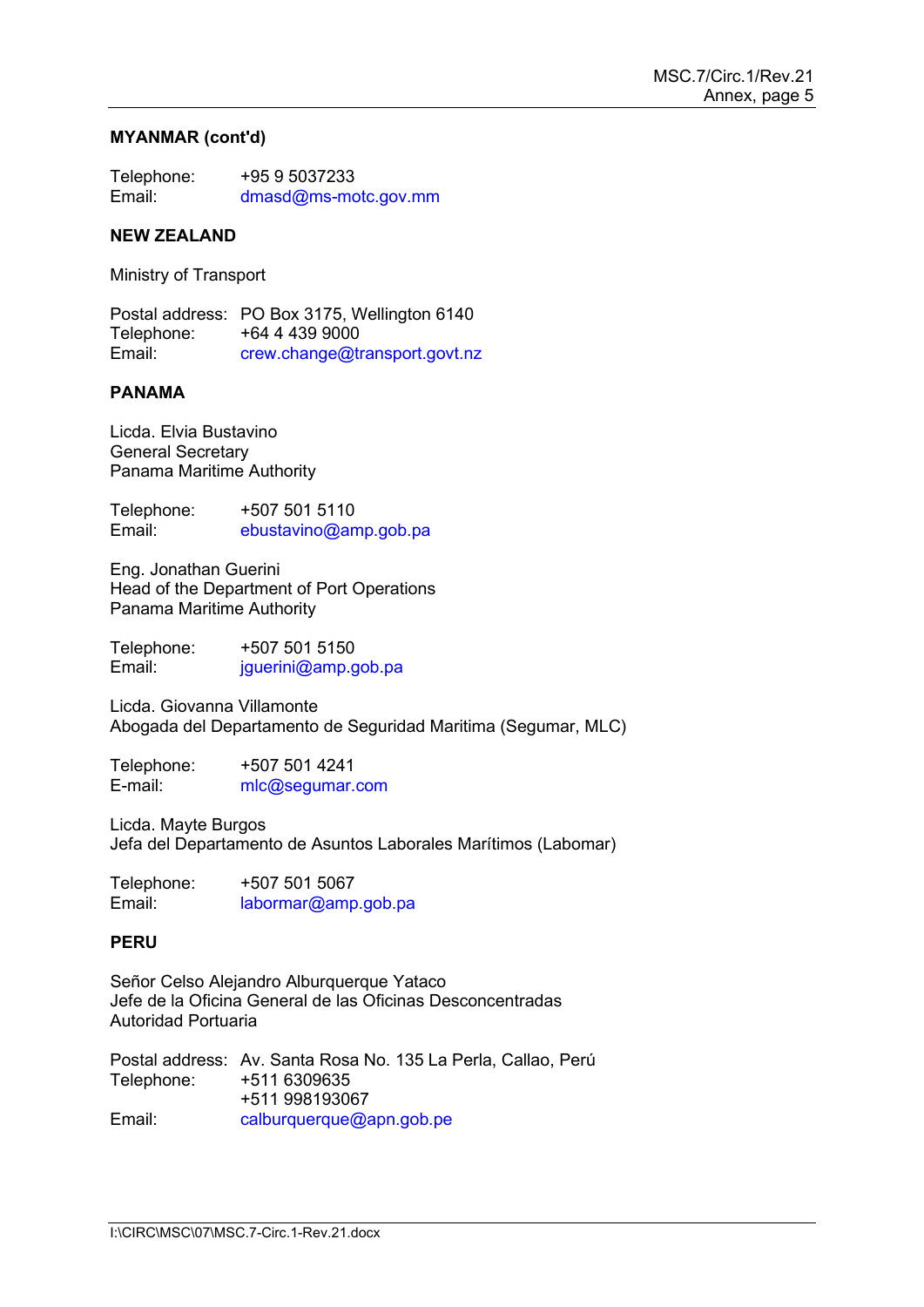### **MYANMAR (cont'd)**

| Telephone: | +95 9 5037233        |
|------------|----------------------|
| Email:     | dmasd@ms-motc.gov.mm |

#### **NEW ZEALAND**

Ministry of Transport

Postal address: PO Box 3175, Wellington 6140 Telephone: +64 4 439 9000 Email: [crew.change@transport.govt.nz](mailto:crew.change@transport.govt.nz)

# **PANAMA**

Licda. Elvia Bustavino General Secretary Panama Maritime Authority

Telephone: +507 501 5110<br>Email: ebustavino@an [ebustavino@amp.gob.pa](mailto:ebustavino@amp.gob.pa)

Eng. Jonathan Guerini Head of the Department of Port Operations Panama Maritime Authority

Telephone: +507 501 5150 Email: [jguerini@amp.gob.pa](mailto:jguerini@amp.gob.pa)

Licda. Giovanna Villamonte Abogada del Departamento de Seguridad Maritima (Segumar, MLC)

Telephone: +507 501 4241 E-mail: [mlc@segumar.com](mailto:mlc@segumar.com) 

Licda. Mayte Burgos Jefa del Departamento de Asuntos Laborales Marítimos (Labomar)

| Telephone: | +507 501 5067       |
|------------|---------------------|
| Email:     | labormar@amp.gob.pa |

#### **PERU**

Señor Celso Alejandro Alburquerque Yataco Jefe de la Oficina General de las Oficinas Desconcentradas Autoridad Portuaria

|            | Postal address: Av. Santa Rosa No. 135 La Perla, Callao, Perú |
|------------|---------------------------------------------------------------|
| Telephone: | +511 6309635                                                  |
|            | +511 998193067                                                |
| Email:     | calburquerque@apn.gob.pe                                      |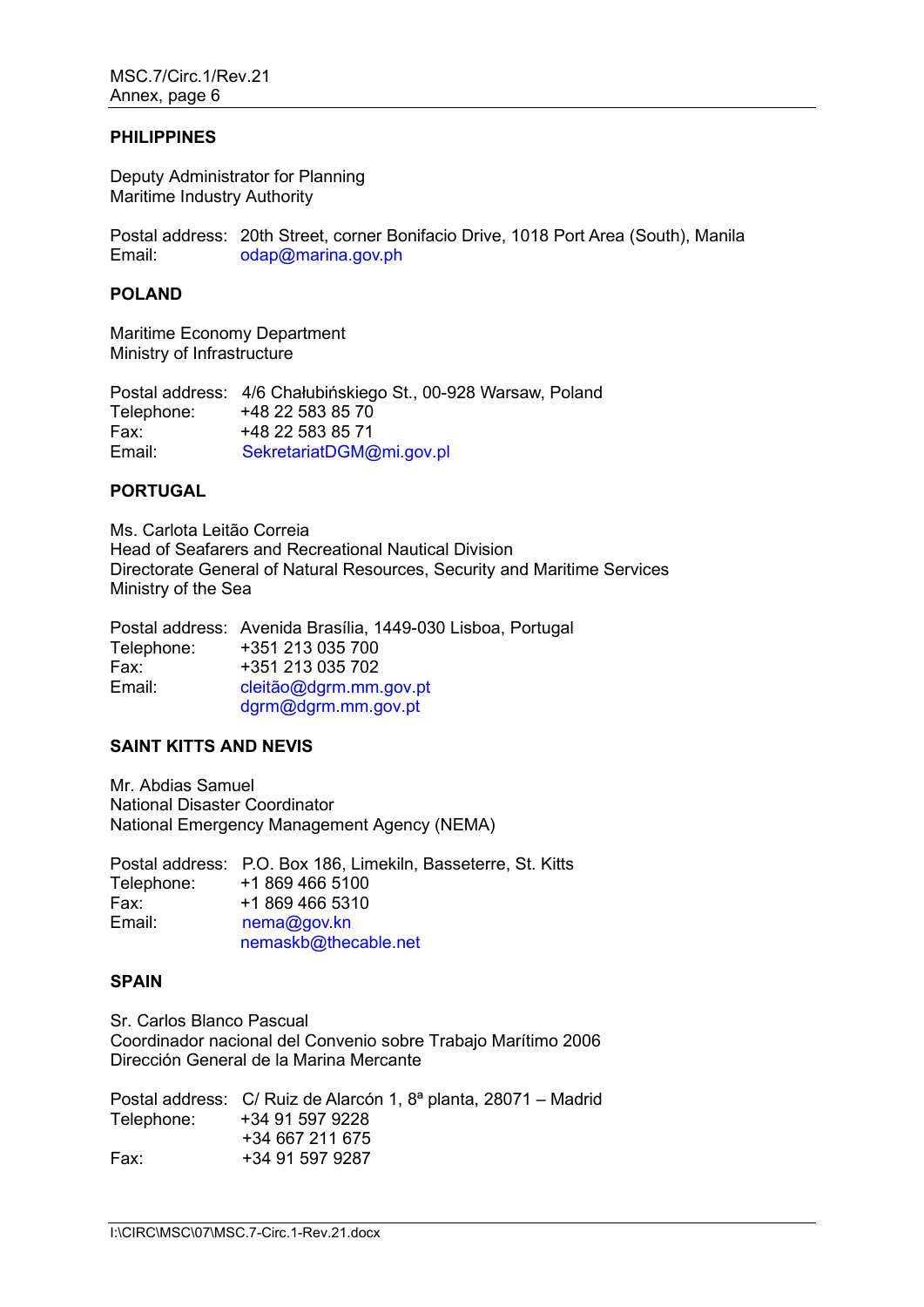#### **PHILIPPINES**

Deputy Administrator for Planning Maritime Industry Authority

Postal address: 20th Street, corner Bonifacio Drive, 1018 Port Area (South), Manila<br>Fmail: odan@marina.gov.ph [odap@marina.gov.ph](mailto:odap@marina.gov.ph)

### **POLAND**

Maritime Economy Department Ministry of Infrastructure

Postal address: 4/6 Chałubińskiego St., 00-928 Warsaw, Poland Telephone: +48 22 583 85 70<br>Fax: +48 22 583 85 71 Fax: +48 22 583 85 71<br>Email: SekretariatDGM@ [SekretariatDGM@mi.gov.pl](mailto:SekretariatDGM@mi.gov.pl)

### **PORTUGAL**

Ms. Carlota Leitão Correia Head of Seafarers and Recreational Nautical Division Directorate General of Natural Resources, Security and Maritime Services Ministry of the Sea

Postal address: Avenida Brasília, 1449-030 Lisboa, Portugal Telephone: +351 213 035 700 Fax: +351 213 035 702 Email: [cleitão@dgrm.mm.gov.pt](mailto:cleit%C3%A3o@dgrm.mm.gov.pt) [dgrm@dgrm.mm.gov.pt](mailto:dgrm@dgrm.mm.gov.pt)

# **SAINT KITTS AND NEVIS**

Mr. Abdias Samuel National Disaster Coordinator National Emergency Management Agency (NEMA)

Postal address: P.O. Box 186, Limekiln, Basseterre, St. Kitts Telephone: +1 869 466 5100 Fax: +1 869 466 5310 Email: [nema@gov.kn](mailto:nema@gov.kn) [nemaskb@thecable.net](mailto:nemaskb@thecable.net)

# **SPAIN**

Sr. Carlos Blanco Pascual Coordinador nacional del Convenio sobre Trabajo Marítimo 2006 Dirección General de la Marina Mercante

Postal address: C/ Ruiz de Alarcón 1, 8ª planta, 28071 – Madrid Telephone: +34 91 597 9228 +34 667 211 675 Fax: +34 91 597 9287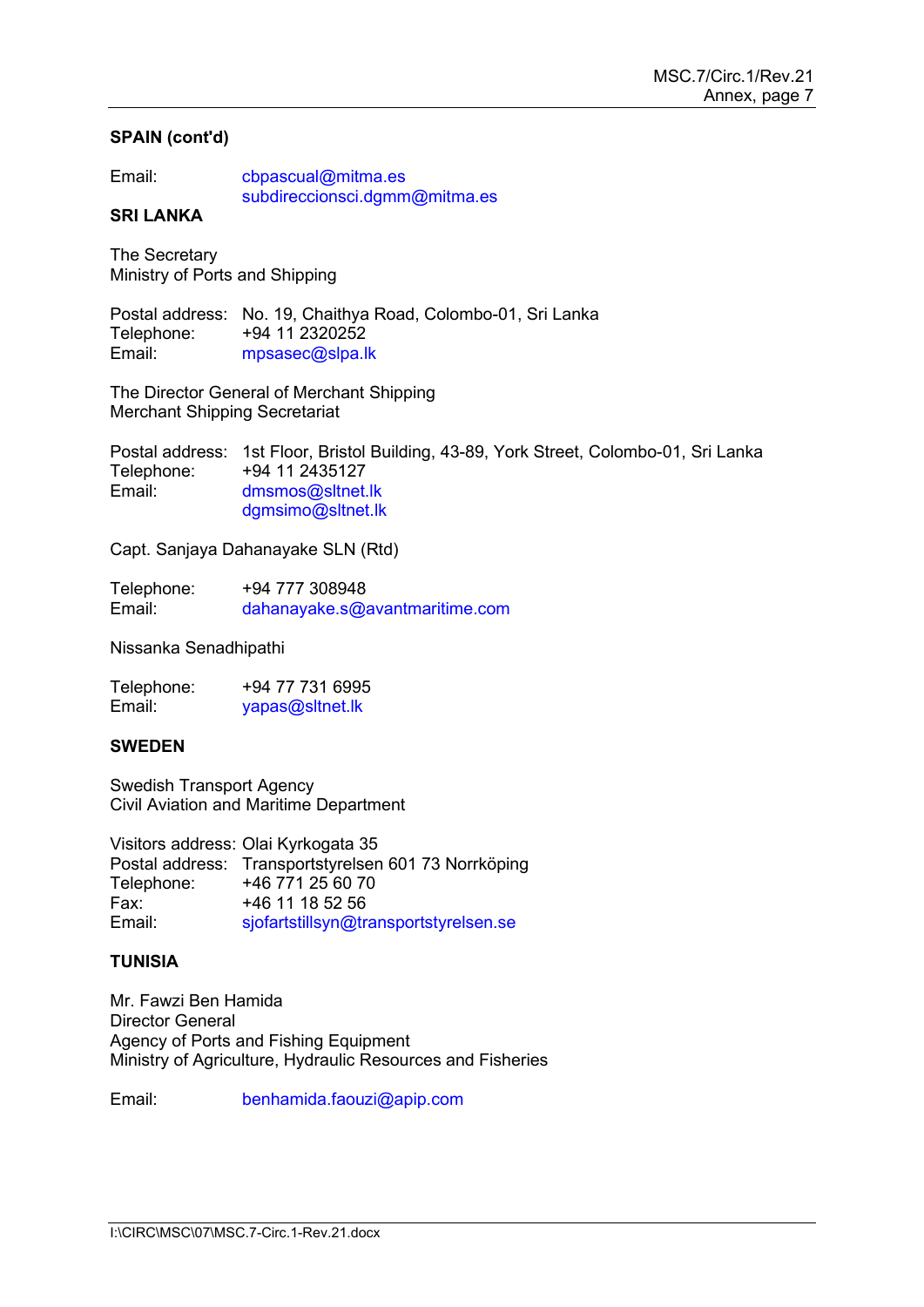# **SPAIN (cont'd)**

| Email: | cbpascual@mitma.es            |
|--------|-------------------------------|
|        | subdireccionsci.dgmm@mitma.es |

# **SRI LANKA**

The Secretary Ministry of Ports and Shipping

Postal address: No. 19, Chaithya Road, Colombo-01, Sri Lanka Telephone: +94 11 2320252 Email: [mpsasec@slpa.lk](mailto:mpsasec@slpa.lk)

The Director General of Merchant Shipping Merchant Shipping Secretariat

Postal address: 1st Floor, Bristol Building, 43-89, York Street, Colombo-01, Sri Lanka Telephone: +94 11 2435127 Email: [dmsmos@sltnet.lk](mailto:dmsmos@sltnet.lk) [dgmsimo@sltnet.lk](mailto:dgmsimo@sltnet.lk)

Capt. Sanjaya Dahanayake SLN (Rtd)

Telephone: +94 777 308948<br>Email: dahanavake.s@ [dahanayake.s@avantmaritime.com](mailto:dahanayake.s@avantmaritime.com)

Nissanka Senadhipathi

Telephone: +94 77 731 6995<br>Email: vapas@sltnet.lk [yapas@sltnet.lk](mailto:yapas@sltnet.lk)

# **SWEDEN**

Swedish Transport Agency Civil Aviation and Maritime Department

Visitors address: Olai Kyrkogata 35 Postal address: Transportstyrelsen 601 73 Norrköping Telephone: +46 771 25 60 70 Fax: +46 11 18 52 56<br>Email: siofartstillsyn@tr [sjofartstillsyn@transportstyrelsen.se](mailto:sjofartstillsyn@transportstyrelsen.se)

# **TUNISIA**

Mr. Fawzi Ben Hamida Director General Agency of Ports and Fishing Equipment Ministry of Agriculture, Hydraulic Resources and Fisheries

Email: [benhamida.faouzi@apip.com](mailto:benhamida.faouzi@apip.com)